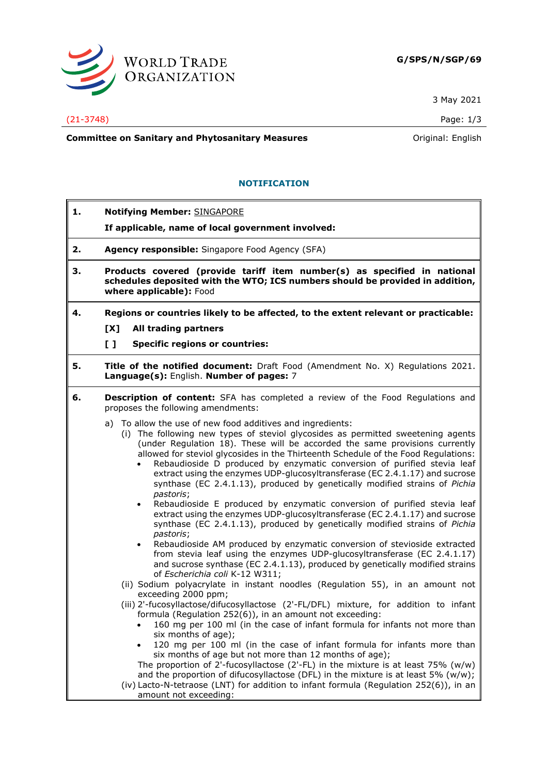

3 May 2021

(21-3748) Page: 1/3

**Committee on Sanitary and Phytosanitary Measures Committee on Sanitary and Phytosanitary Measures Original: English** 

## **NOTIFICATION**

- **1. Notifying Member:** SINGAPORE
	- **If applicable, name of local government involved:**
- **2. Agency responsible:** Singapore Food Agency (SFA)
- **3. Products covered (provide tariff item number(s) as specified in national schedules deposited with the WTO; ICS numbers should be provided in addition, where applicable):** Food
- **4. Regions or countries likely to be affected, to the extent relevant or practicable:**
	- **[X] All trading partners**

**[ ] Specific regions or countries:**

- **5. Title of the notified document:** Draft Food (Amendment No. X) Regulations 2021. **Language(s):** English. **Number of pages:** 7
- **6. Description of content:** SFA has completed a review of the Food Regulations and proposes the following amendments:
	- a) To allow the use of new food additives and ingredients:
		- (i) The following new types of steviol glycosides as permitted sweetening agents (under Regulation 18). These will be accorded the same provisions currently allowed for steviol glycosides in the Thirteenth Schedule of the Food Regulations:
			- Rebaudioside D produced by enzymatic conversion of purified stevia leaf extract using the enzymes UDP-glucosyltransferase (EC 2.4.1.17) and sucrose synthase (EC 2.4.1.13), produced by genetically modified strains of *Pichia pastoris*;
			- Rebaudioside E produced by enzymatic conversion of purified stevia leaf extract using the enzymes UDP-glucosyltransferase (EC 2.4.1.17) and sucrose synthase (EC 2.4.1.13), produced by genetically modified strains of *Pichia pastoris*;
			- Rebaudioside AM produced by enzymatic conversion of stevioside extracted from stevia leaf using the enzymes UDP-glucosyltransferase (EC 2.4.1.17) and sucrose synthase (EC 2.4.1.13), produced by genetically modified strains of *Escherichia coli* K-12 W311;
		- (ii) Sodium polyacrylate in instant noodles (Regulation 55), in an amount not exceeding 2000 ppm;
		- (iii) 2'-fucosyllactose/difucosyllactose (2'-FL/DFL) mixture, for addition to infant formula (Regulation 252(6)), in an amount not exceeding:
			- 160 mg per 100 ml (in the case of infant formula for infants not more than six months of age);
			- 120 mg per 100 ml (in the case of infant formula for infants more than six months of age but not more than 12 months of age); The proportion of 2'-fucosyllactose (2'-FL) in the mixture is at least  $75\%$  (w/w) and the proportion of difucosyllactose (DFL) in the mixture is at least 5% ( $w/w$ );
		- (iv) Lacto-N-tetraose (LNT) for addition to infant formula (Regulation 252(6)), in an amount not exceeding: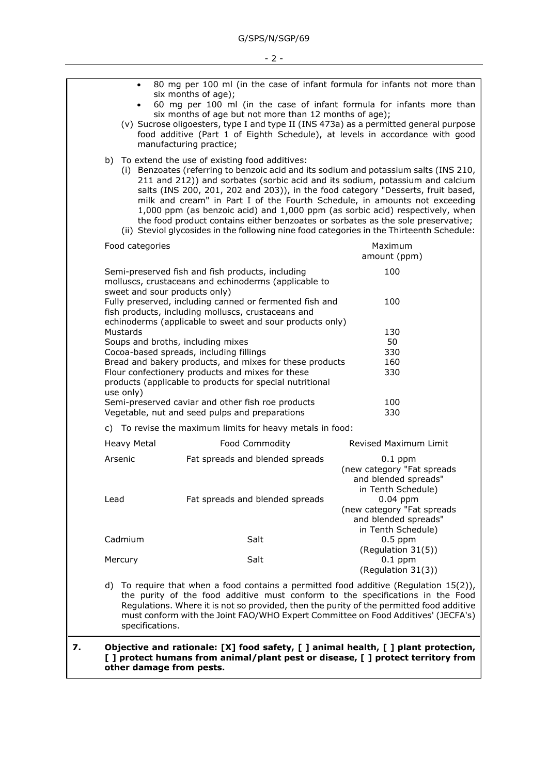|                                                           | 80 mg per 100 ml (in the case of infant formula for infants not more than<br>$\bullet$<br>six months of age);<br>60 mg per 100 ml (in the case of infant formula for infants more than<br>$\bullet$<br>six months of age but not more than 12 months of age);<br>(v) Sucrose oligoesters, type I and type II (INS 473a) as a permitted general purpose<br>food additive (Part 1 of Eighth Schedule), at levels in accordance with good<br>manufacturing practice;                                                                                                                                                                                              |                 |                                                                                                                                                                                                                          |  |  |                                                                                        |  |
|-----------------------------------------------------------|----------------------------------------------------------------------------------------------------------------------------------------------------------------------------------------------------------------------------------------------------------------------------------------------------------------------------------------------------------------------------------------------------------------------------------------------------------------------------------------------------------------------------------------------------------------------------------------------------------------------------------------------------------------|-----------------|--------------------------------------------------------------------------------------------------------------------------------------------------------------------------------------------------------------------------|--|--|----------------------------------------------------------------------------------------|--|
|                                                           | b) To extend the use of existing food additives:<br>(i) Benzoates (referring to benzoic acid and its sodium and potassium salts (INS 210,<br>211 and 212)) and sorbates (sorbic acid and its sodium, potassium and calcium<br>salts (INS 200, 201, 202 and 203)), in the food category "Desserts, fruit based,<br>milk and cream" in Part I of the Fourth Schedule, in amounts not exceeding<br>1,000 ppm (as benzoic acid) and 1,000 ppm (as sorbic acid) respectively, when<br>the food product contains either benzoates or sorbates as the sole preservative;<br>(ii) Steviol glycosides in the following nine food categories in the Thirteenth Schedule: |                 |                                                                                                                                                                                                                          |  |  |                                                                                        |  |
|                                                           |                                                                                                                                                                                                                                                                                                                                                                                                                                                                                                                                                                                                                                                                | Food categories |                                                                                                                                                                                                                          |  |  | Maximum<br>amount (ppm)                                                                |  |
|                                                           |                                                                                                                                                                                                                                                                                                                                                                                                                                                                                                                                                                                                                                                                |                 | Semi-preserved fish and fish products, including<br>molluscs, crustaceans and echinoderms (applicable to                                                                                                                 |  |  | 100                                                                                    |  |
|                                                           |                                                                                                                                                                                                                                                                                                                                                                                                                                                                                                                                                                                                                                                                |                 | sweet and sour products only)<br>Fully preserved, including canned or fermented fish and<br>100<br>fish products, including molluscs, crustaceans and<br>echinoderms (applicable to sweet and sour products only)<br>130 |  |  |                                                                                        |  |
|                                                           | Mustards                                                                                                                                                                                                                                                                                                                                                                                                                                                                                                                                                                                                                                                       |                 |                                                                                                                                                                                                                          |  |  |                                                                                        |  |
|                                                           | Soups and broths, including mixes                                                                                                                                                                                                                                                                                                                                                                                                                                                                                                                                                                                                                              |                 |                                                                                                                                                                                                                          |  |  | 50                                                                                     |  |
|                                                           | Cocoa-based spreads, including fillings                                                                                                                                                                                                                                                                                                                                                                                                                                                                                                                                                                                                                        |                 |                                                                                                                                                                                                                          |  |  | 330                                                                                    |  |
|                                                           | Bread and bakery products, and mixes for these products<br>160<br>Flour confectionery products and mixes for these<br>330<br>products (applicable to products for special nutritional<br>use only)                                                                                                                                                                                                                                                                                                                                                                                                                                                             |                 |                                                                                                                                                                                                                          |  |  |                                                                                        |  |
|                                                           | Semi-preserved caviar and other fish roe products<br>Vegetable, nut and seed pulps and preparations                                                                                                                                                                                                                                                                                                                                                                                                                                                                                                                                                            |                 |                                                                                                                                                                                                                          |  |  | 100<br>330                                                                             |  |
| c) To revise the maximum limits for heavy metals in food: |                                                                                                                                                                                                                                                                                                                                                                                                                                                                                                                                                                                                                                                                |                 |                                                                                                                                                                                                                          |  |  |                                                                                        |  |
|                                                           | Heavy Metal                                                                                                                                                                                                                                                                                                                                                                                                                                                                                                                                                                                                                                                    |                 | Food Commodity                                                                                                                                                                                                           |  |  | <b>Revised Maximum Limit</b>                                                           |  |
|                                                           | Arsenic                                                                                                                                                                                                                                                                                                                                                                                                                                                                                                                                                                                                                                                        |                 | Fat spreads and blended spreads                                                                                                                                                                                          |  |  | $0.1$ ppm<br>(new category "Fat spreads<br>and blended spreads"<br>in Tenth Schedule)  |  |
|                                                           | Lead                                                                                                                                                                                                                                                                                                                                                                                                                                                                                                                                                                                                                                                           |                 | Fat spreads and blended spreads                                                                                                                                                                                          |  |  | $0.04$ ppm<br>(new category "Fat spreads<br>and blended spreads"<br>in Tenth Schedule) |  |
|                                                           | Cadmium                                                                                                                                                                                                                                                                                                                                                                                                                                                                                                                                                                                                                                                        |                 | Salt                                                                                                                                                                                                                     |  |  | $0.5$ ppm<br>(Regulation 31(5))                                                        |  |
|                                                           | Mercury                                                                                                                                                                                                                                                                                                                                                                                                                                                                                                                                                                                                                                                        |                 | Salt                                                                                                                                                                                                                     |  |  | $0.1$ ppm<br>(Regulation 31(3))                                                        |  |

d) To require that when a food contains a permitted food additive (Regulation 15(2)), the purity of the food additive must conform to the specifications in the Food Regulations. Where it is not so provided, then the purity of the permitted food additive must conform with the Joint FAO/WHO Expert Committee on Food Additives' (JECFA's) specifications.

## **7. Objective and rationale: [X] food safety, [ ] animal health, [ ] plant protection, [ ] protect humans from animal/plant pest or disease, [ ] protect territory from other damage from pests.**